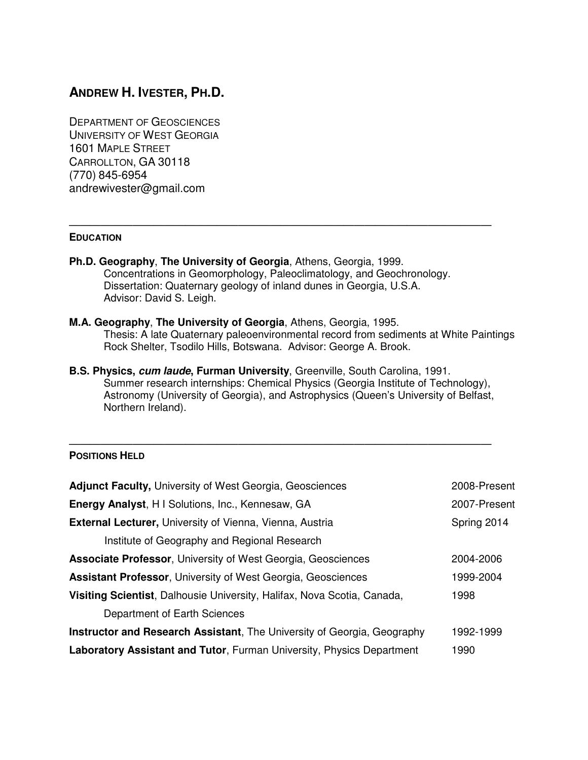# **ANDREW H. IVESTER, PH.D.**

DEPARTMENT OF GEOSCIENCES UNIVERSITY OF WEST GEORGIA 1601 MAPLE STREET CARROLLTON, GA 30118 (770) 845-6954 andrewivester@gmail.com

## **EDUCATION**

**Ph.D. Geography**, **The University of Georgia**, Athens, Georgia, 1999. Concentrations in Geomorphology, Paleoclimatology, and Geochronology. Dissertation: Quaternary geology of inland dunes in Georgia, U.S.A. Advisor: David S. Leigh.

————————————————————————————————————————

- **M.A. Geography**, **The University of Georgia**, Athens, Georgia, 1995. Thesis: A late Quaternary paleoenvironmental record from sediments at White Paintings Rock Shelter, Tsodilo Hills, Botswana. Advisor: George A. Brook.
- **B.S. Physics, cum laude, Furman University**, Greenville, South Carolina, 1991. Summer research internships: Chemical Physics (Georgia Institute of Technology), Astronomy (University of Georgia), and Astrophysics (Queen's University of Belfast, Northern Ireland).

#### ———————————————————————————————————————— **POSITIONS HELD**

| <b>Adjunct Faculty, University of West Georgia, Geosciences</b>                | 2008-Present |
|--------------------------------------------------------------------------------|--------------|
| Energy Analyst, H I Solutions, Inc., Kennesaw, GA                              | 2007-Present |
| <b>External Lecturer, University of Vienna, Vienna, Austria</b>                | Spring 2014  |
| Institute of Geography and Regional Research                                   |              |
| <b>Associate Professor, University of West Georgia, Geosciences</b>            | 2004-2006    |
| <b>Assistant Professor, University of West Georgia, Geosciences</b>            | 1999-2004    |
| Visiting Scientist, Dalhousie University, Halifax, Nova Scotia, Canada,        | 1998         |
| Department of Earth Sciences                                                   |              |
| <b>Instructor and Research Assistant, The University of Georgia, Geography</b> | 1992-1999    |
| <b>Laboratory Assistant and Tutor, Furman University, Physics Department</b>   | 1990         |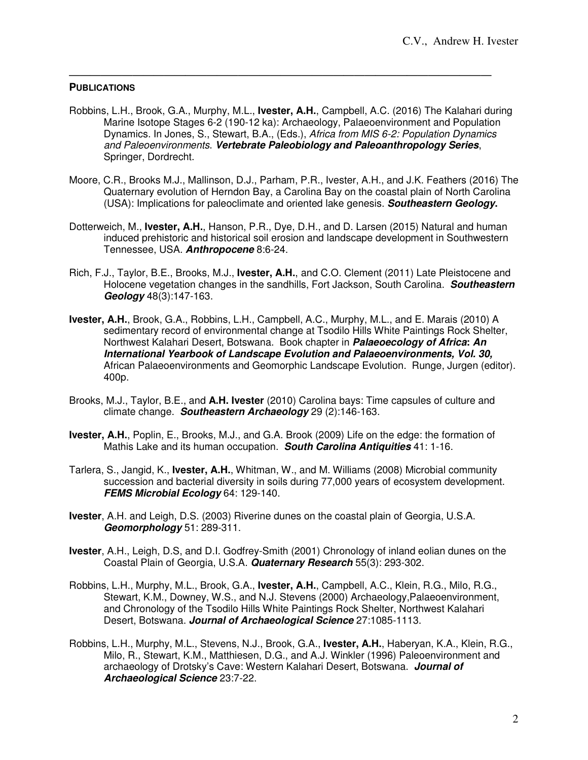## **PUBLICATIONS**

Robbins, L.H., Brook, G.A., Murphy, M.L., **Ivester, A.H.**, Campbell, A.C. (2016) The Kalahari during Marine Isotope Stages 6-2 (190-12 ka): Archaeology, Palaeoenvironment and Population Dynamics. In Jones, S., Stewart, B.A., (Eds.), Africa from MIS 6-2: Population Dynamics and Paleoenvironments. **Vertebrate Paleobiology and Paleoanthropology Series**, Springer, Dordrecht.

————————————————————————————————————————

- Moore, C.R., Brooks M.J., Mallinson, D.J., Parham, P.R., Ivester, A.H., and J.K. Feathers (2016) The Quaternary evolution of Herndon Bay, a Carolina Bay on the coastal plain of North Carolina (USA): Implications for paleoclimate and oriented lake genesis. **Southeastern Geology.**
- Dotterweich, M., **Ivester, A.H.**, Hanson, P.R., Dye, D.H., and D. Larsen (2015) Natural and human induced prehistoric and historical soil erosion and landscape development in Southwestern Tennessee, USA. **Anthropocene** 8:6-24.
- Rich, F.J., Taylor, B.E., Brooks, M.J., **Ivester, A.H.**, and C.O. Clement (2011) Late Pleistocene and Holocene vegetation changes in the sandhills, Fort Jackson, South Carolina. **Southeastern Geology** 48(3):147-163.
- **Ivester, A.H.**, Brook, G.A., Robbins, L.H., Campbell, A.C., Murphy, M.L., and E. Marais (2010) A sedimentary record of environmental change at Tsodilo Hills White Paintings Rock Shelter, Northwest Kalahari Desert, Botswana. Book chapter in **Palaeoecology of Africa: An International Yearbook of Landscape Evolution and Palaeoenvironments, Vol. 30,**  African Palaeoenvironments and Geomorphic Landscape Evolution. Runge, Jurgen (editor). 400p.
- Brooks, M.J., Taylor, B.E., and **A.H. Ivester** (2010) Carolina bays: Time capsules of culture and climate change. **Southeastern Archaeology** 29 (2):146-163.
- **Ivester, A.H.**, Poplin, E., Brooks, M.J., and G.A. Brook (2009) Life on the edge: the formation of Mathis Lake and its human occupation. **South Carolina Antiquities** 41: 1-16.
- Tarlera, S., Jangid, K., **Ivester, A.H.**, Whitman, W., and M. Williams (2008) Microbial community succession and bacterial diversity in soils during 77,000 years of ecosystem development. **FEMS Microbial Ecology** 64: 129-140.
- **Ivester**, A.H. and Leigh, D.S. (2003) Riverine dunes on the coastal plain of Georgia, U.S.A. **Geomorphology** 51: 289-311.
- **Ivester**, A.H., Leigh, D.S, and D.I. Godfrey-Smith (2001) Chronology of inland eolian dunes on the Coastal Plain of Georgia, U.S.A. **Quaternary Research** 55(3): 293-302.
- Robbins, L.H., Murphy, M.L., Brook, G.A., **Ivester, A.H.**, Campbell, A.C., Klein, R.G., Milo, R.G., Stewart, K.M., Downey, W.S., and N.J. Stevens (2000) Archaeology,Palaeoenvironment, and Chronology of the Tsodilo Hills White Paintings Rock Shelter, Northwest Kalahari Desert, Botswana. **Journal of Archaeological Science** 27:1085-1113.
- Robbins, L.H., Murphy, M.L., Stevens, N.J., Brook, G.A., **Ivester, A.H.**, Haberyan, K.A., Klein, R.G., Milo, R., Stewart, K.M., Matthiesen, D.G., and A.J. Winkler (1996) Paleoenvironment and archaeology of Drotsky's Cave: Western Kalahari Desert, Botswana. **Journal of Archaeological Science** 23:7-22.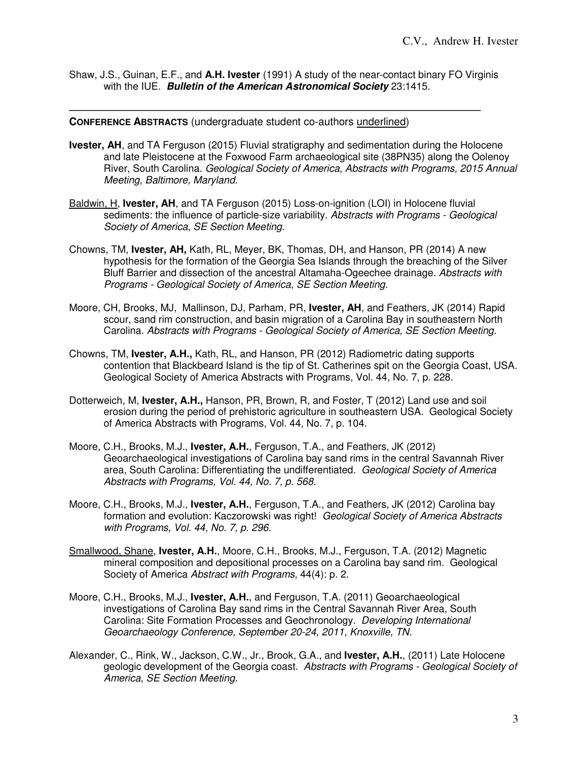Shaw, J.S., Guinan, E.F., and **A.H. Ivester** (1991) A study of the near-contact binary FO Virginis with the IUE. **Bulletin of the American Astronomical Society** 23:1415.

———————————————————————————————————————

#### **CONFERENCE ABSTRACTS** (undergraduate student co-authors underlined)

- **Ivester, AH**, and TA Ferguson (2015) Fluvial stratigraphy and sedimentation during the Holocene and late Pleistocene at the Foxwood Farm archaeological site (38PN35) along the Oolenoy River, South Carolina. Geological Society of America, Abstracts with Programs, 2015 Annual Meeting, Baltimore, Maryland.
- Baldwin, H, **Ivester, AH**, and TA Ferguson (2015) Loss-on-ignition (LOI) in Holocene fluvial sediments: the influence of particle-size variability. Abstracts with Programs - Geological Society of America, SE Section Meeting.
- Chowns, TM, **Ivester, AH,** Kath, RL, Meyer, BK, Thomas, DH, and Hanson, PR (2014) A new hypothesis for the formation of the Georgia Sea Islands through the breaching of the Silver Bluff Barrier and dissection of the ancestral Altamaha-Ogeechee drainage. Abstracts with Programs - Geological Society of America, SE Section Meeting.
- Moore, CH, Brooks, MJ, Mallinson, DJ, Parham, PR, **Ivester, AH**, and Feathers, JK (2014) Rapid scour, sand rim construction, and basin migration of a Carolina Bay in southeastern North Carolina. Abstracts with Programs - Geological Society of America, SE Section Meeting.
- Chowns, TM, **Ivester, A.H.,** Kath, RL, and Hanson, PR (2012) Radiometric dating supports contention that Blackbeard Island is the tip of St. Catherines spit on the Georgia Coast, USA. Geological Society of America Abstracts with Programs, Vol. 44, No. 7, p. 228.
- Dotterweich, M, **Ivester, A.H.,** Hanson, PR, Brown, R, and Foster, T (2012) Land use and soil erosion during the period of prehistoric agriculture in southeastern USA. Geological Society of America Abstracts with Programs, Vol. 44, No. 7, p. 104.
- Moore, C.H., Brooks, M.J., **Ivester, A.H.**, Ferguson, T.A., and Feathers, JK (2012) Geoarchaeological investigations of Carolina bay sand rims in the central Savannah River area, South Carolina: Differentiating the undifferentiated. Geological Society of America Abstracts with Programs, Vol. 44, No. 7, p. 568.
- Moore, C.H., Brooks, M.J., **Ivester, A.H.**, Ferguson, T.A., and Feathers, JK (2012) Carolina bay formation and evolution: Kaczorowski was right! Geological Society of America Abstracts with Programs, Vol. 44, No. 7, p. 296.
- Smallwood, Shane, **Ivester, A.H.**, Moore, C.H., Brooks, M.J., Ferguson, T.A. (2012) Magnetic mineral composition and depositional processes on a Carolina bay sand rim. Geological Society of America Abstract with Programs, 44(4): p. 2.
- Moore, C.H., Brooks, M.J., **Ivester, A.H.**, and Ferguson, T.A. (2011) Geoarchaeological investigations of Carolina Bay sand rims in the Central Savannah River Area, South Carolina: Site Formation Processes and Geochronology. Developing International Geoarchaeology Conference, September 20-24, 2011, Knoxville, TN.
- Alexander, C., Rink, W., Jackson, C.W., Jr., Brook, G.A., and **Ivester, A.H.**, (2011) Late Holocene geologic development of the Georgia coast. Abstracts with Programs - Geological Society of America, SE Section Meeting.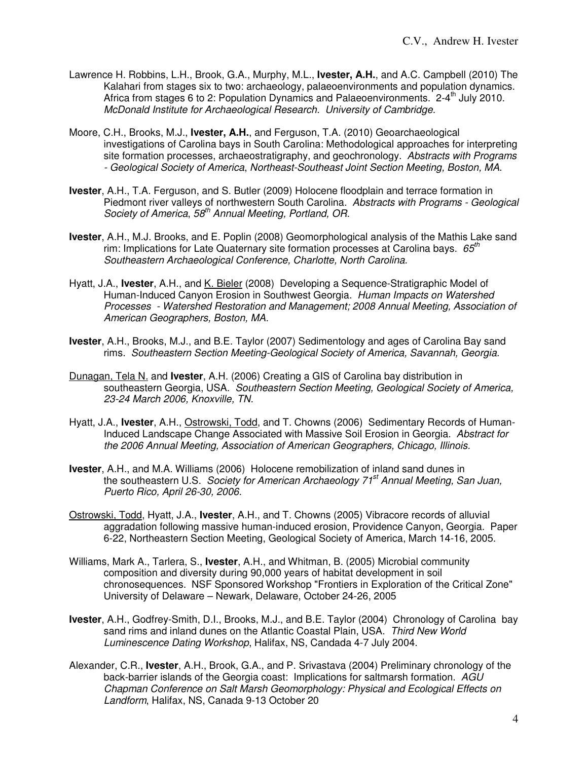- Lawrence H. Robbins, L.H., Brook, G.A., Murphy, M.L., **Ivester, A.H.**, and A.C. Campbell (2010) The Kalahari from stages six to two: archaeology, palaeoenvironments and population dynamics. Africa from stages 6 to 2: Population Dynamics and Palaeoenvironments.  $2-4^{th}$  July 2010. McDonald Institute for Archaeological Research. University of Cambridge.
- Moore, C.H., Brooks, M.J., **Ivester, A.H.**, and Ferguson, T.A. (2010) Geoarchaeological investigations of Carolina bays in South Carolina: Methodological approaches for interpreting site formation processes, archaeostratigraphy, and geochronology. Abstracts with Programs - Geological Society of America, Northeast-Southeast Joint Section Meeting, Boston, MA.
- **Ivester**, A.H., T.A. Ferguson, and S. Butler (2009) Holocene floodplain and terrace formation in Piedmont river valleys of northwestern South Carolina. Abstracts with Programs - Geological Society of America, 58<sup>th</sup> Annual Meeting, Portland, OR.
- **Ivester**, A.H., M.J. Brooks, and E. Poplin (2008) Geomorphological analysis of the Mathis Lake sand rim: Implications for Late Quaternary site formation processes at Carolina bays.  $65<sup>th</sup>$ Southeastern Archaeological Conference, Charlotte, North Carolina.
- Hyatt, J.A., **Ivester**, A.H., and K. Bieler (2008) Developing a Sequence-Stratigraphic Model of Human-Induced Canyon Erosion in Southwest Georgia. Human Impacts on Watershed Processes - Watershed Restoration and Management; 2008 Annual Meeting, Association of American Geographers, Boston, MA.
- **Ivester**, A.H., Brooks, M.J., and B.E. Taylor (2007) Sedimentology and ages of Carolina Bay sand rims. Southeastern Section Meeting-Geological Society of America, Savannah, Georgia.
- Dunagan, Tela N. and **Ivester**, A.H. (2006) Creating a GIS of Carolina bay distribution in southeastern Georgia, USA. Southeastern Section Meeting, Geological Society of America, 23-24 March 2006, Knoxville, TN.
- Hyatt, J.A., **Ivester**, A.H., Ostrowski, Todd, and T. Chowns (2006) Sedimentary Records of Human-Induced Landscape Change Associated with Massive Soil Erosion in Georgia. Abstract for the 2006 Annual Meeting, Association of American Geographers, Chicago, Illinois.
- **Ivester**, A.H., and M.A. Williams (2006) Holocene remobilization of inland sand dunes in the southeastern U.S. Society for American Archaeology 71<sup>st</sup> Annual Meeting, San Juan, Puerto Rico, April 26-30, 2006.
- Ostrowski, Todd, Hyatt, J.A., **Ivester**, A.H., and T. Chowns (2005) Vibracore records of alluvial aggradation following massive human-induced erosion, Providence Canyon, Georgia. Paper 6-22, Northeastern Section Meeting, Geological Society of America, March 14-16, 2005.
- Williams, Mark A., Tarlera, S., **Ivester**, A.H., and Whitman, B. (2005) Microbial community composition and diversity during 90,000 years of habitat development in soil chronosequences.NSF Sponsored Workshop "Frontiers in Exploration of the Critical Zone" University of Delaware – Newark, Delaware, October 24-26, 2005
- **Ivester**, A.H., Godfrey-Smith, D.I., Brooks, M.J., and B.E. Taylor (2004) Chronology of Carolina bay sand rims and inland dunes on the Atlantic Coastal Plain, USA. Third New World Luminescence Dating Workshop, Halifax, NS, Candada 4-7 July 2004.
- Alexander, C.R., **Ivester**, A.H., Brook, G.A., and P. Srivastava (2004) Preliminary chronology of the back-barrier islands of the Georgia coast: Implications for saltmarsh formation. AGU Chapman Conference on Salt Marsh Geomorphology: Physical and Ecological Effects on Landform, Halifax, NS, Canada 9-13 October 20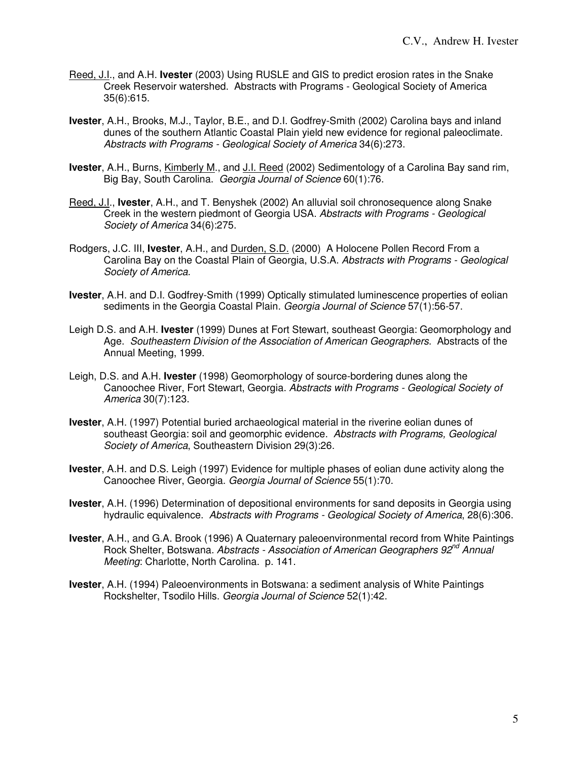- Reed, J.I., and A.H. **Ivester** (2003) Using RUSLE and GIS to predict erosion rates in the Snake Creek Reservoir watershed. Abstracts with Programs - Geological Society of America 35(6):615.
- **Ivester**, A.H., Brooks, M.J., Taylor, B.E., and D.I. Godfrey-Smith (2002) Carolina bays and inland dunes of the southern Atlantic Coastal Plain yield new evidence for regional paleoclimate. Abstracts with Programs - Geological Society of America 34(6):273.
- **Ivester**, A.H., Burns, Kimberly M., and J.I. Reed (2002) Sedimentology of a Carolina Bay sand rim, Big Bay, South Carolina. Georgia Journal of Science 60(1):76.
- Reed, J.I., **Ivester**, A.H., and T. Benyshek (2002) An alluvial soil chronosequence along Snake Creek in the western piedmont of Georgia USA. Abstracts with Programs - Geological Society of America 34(6):275.
- Rodgers, J.C. III, **Ivester**, A.H., and Durden, S.D. (2000) A Holocene Pollen Record From a Carolina Bay on the Coastal Plain of Georgia, U.S.A. Abstracts with Programs - Geological Society of America.
- **Ivester**, A.H. and D.I. Godfrey-Smith (1999) Optically stimulated luminescence properties of eolian sediments in the Georgia Coastal Plain. Georgia Journal of Science 57(1):56-57.
- Leigh D.S. and A.H. **Ivester** (1999) Dunes at Fort Stewart, southeast Georgia: Geomorphology and Age. Southeastern Division of the Association of American Geographers. Abstracts of the Annual Meeting, 1999.
- Leigh, D.S. and A.H. **Ivester** (1998) Geomorphology of source-bordering dunes along the Canoochee River, Fort Stewart, Georgia. Abstracts with Programs - Geological Society of America 30(7):123.
- **Ivester**, A.H. (1997) Potential buried archaeological material in the riverine eolian dunes of southeast Georgia: soil and geomorphic evidence. Abstracts with Programs, Geological Society of America, Southeastern Division 29(3):26.
- **Ivester**, A.H. and D.S. Leigh (1997) Evidence for multiple phases of eolian dune activity along the Canoochee River, Georgia. Georgia Journal of Science 55(1):70.
- **Ivester**, A.H. (1996) Determination of depositional environments for sand deposits in Georgia using hydraulic equivalence. Abstracts with Programs - Geological Society of America, 28(6):306.
- **Ivester**, A.H., and G.A. Brook (1996) A Quaternary paleoenvironmental record from White Paintings Rock Shelter, Botswana. Abstracts - Association of American Geographers 92<sup>nd</sup> Annual Meeting: Charlotte, North Carolina. p. 141.
- **Ivester**, A.H. (1994) Paleoenvironments in Botswana: a sediment analysis of White Paintings Rockshelter, Tsodilo Hills. Georgia Journal of Science 52(1):42.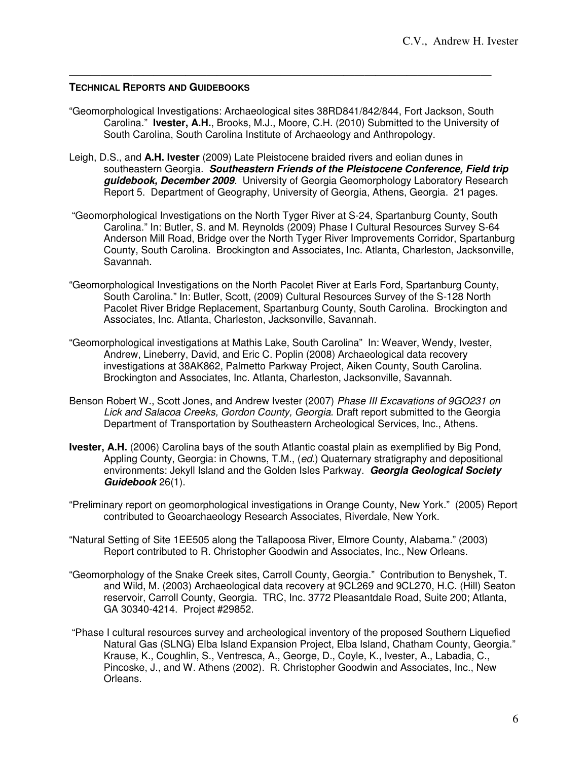## **TECHNICAL REPORTS AND GUIDEBOOKS**

"Geomorphological Investigations: Archaeological sites 38RD841/842/844, Fort Jackson, South Carolina." **Ivester, A.H.**, Brooks, M.J., Moore, C.H. (2010) Submitted to the University of South Carolina, South Carolina Institute of Archaeology and Anthropology.

————————————————————————————————————————

- Leigh, D.S., and **A.H. Ivester** (2009) Late Pleistocene braided rivers and eolian dunes in southeastern Georgia. **Southeastern Friends of the Pleistocene Conference, Field trip guidebook, December 2009**. University of Georgia Geomorphology Laboratory Research Report 5. Department of Geography, University of Georgia, Athens, Georgia. 21 pages.
- "Geomorphological Investigations on the North Tyger River at S-24, Spartanburg County, South Carolina." In: Butler, S. and M. Reynolds (2009) Phase I Cultural Resources Survey S-64 Anderson Mill Road, Bridge over the North Tyger River Improvements Corridor, Spartanburg County, South Carolina. Brockington and Associates, Inc. Atlanta, Charleston, Jacksonville, Savannah.
- "Geomorphological Investigations on the North Pacolet River at Earls Ford, Spartanburg County, South Carolina." In: Butler, Scott, (2009) Cultural Resources Survey of the S-128 North Pacolet River Bridge Replacement, Spartanburg County, South Carolina. Brockington and Associates, Inc. Atlanta, Charleston, Jacksonville, Savannah.
- "Geomorphological investigations at Mathis Lake, South Carolina" In: Weaver, Wendy, Ivester, Andrew, Lineberry, David, and Eric C. Poplin (2008) Archaeological data recovery investigations at 38AK862, Palmetto Parkway Project, Aiken County, South Carolina. Brockington and Associates, Inc. Atlanta, Charleston, Jacksonville, Savannah.
- Benson Robert W., Scott Jones, and Andrew Ivester (2007) Phase III Excavations of 9GO231 on Lick and Salacoa Creeks, Gordon County, Georgia. Draft report submitted to the Georgia Department of Transportation by Southeastern Archeological Services, Inc., Athens.
- **Ivester, A.H.** (2006) Carolina bays of the south Atlantic coastal plain as exemplified by Big Pond, Appling County, Georgia: in Chowns, T.M., (ed.) Quaternary stratigraphy and depositional environments: Jekyll Island and the Golden Isles Parkway. **Georgia Geological Society Guidebook** 26(1).
- "Preliminary report on geomorphological investigations in Orange County, New York." (2005) Report contributed to Geoarchaeology Research Associates, Riverdale, New York.
- "Natural Setting of Site 1EE505 along the Tallapoosa River, Elmore County, Alabama." (2003) Report contributed to R. Christopher Goodwin and Associates, Inc., New Orleans.
- "Geomorphology of the Snake Creek sites, Carroll County, Georgia." Contribution to Benyshek, T. and Wild, M. (2003) Archaeological data recovery at 9CL269 and 9CL270, H.C. (Hill) Seaton reservoir, Carroll County, Georgia. TRC, Inc. 3772 Pleasantdale Road, Suite 200; Atlanta, GA 30340-4214. Project #29852.
- "Phase I cultural resources survey and archeological inventory of the proposed Southern Liquefied Natural Gas (SLNG) Elba Island Expansion Project, Elba Island, Chatham County, Georgia." Krause, K., Coughlin, S., Ventresca, A., George, D., Coyle, K., Ivester, A., Labadia, C., Pincoske, J., and W. Athens (2002). R. Christopher Goodwin and Associates, Inc., New Orleans.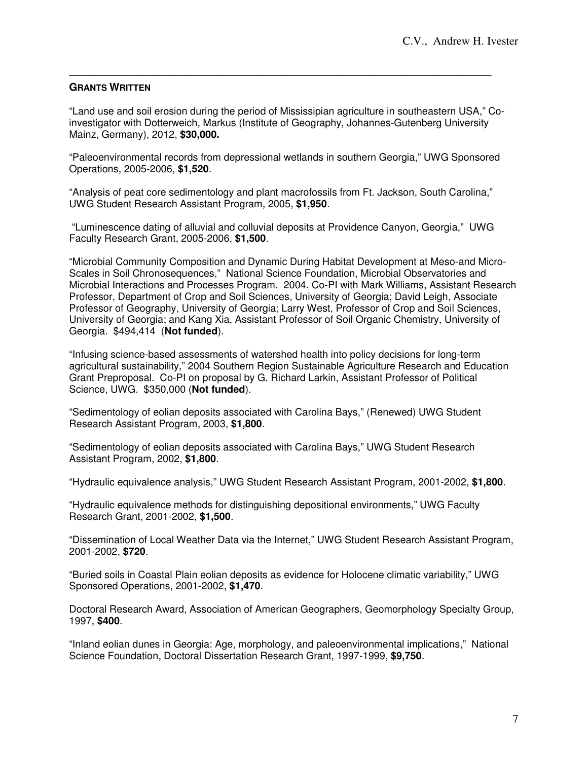#### ———————————————————————————————————————— **GRANTS WRITTEN**

"Land use and soil erosion during the period of Mississipian agriculture in southeastern USA," Coinvestigator with Dotterweich, Markus (Institute of Geography, Johannes-Gutenberg University Mainz, Germany), 2012, **\$30,000.**

"Paleoenvironmental records from depressional wetlands in southern Georgia," UWG Sponsored Operations, 2005-2006, **\$1,520**.

"Analysis of peat core sedimentology and plant macrofossils from Ft. Jackson, South Carolina," UWG Student Research Assistant Program, 2005, **\$1,950**.

 "Luminescence dating of alluvial and colluvial deposits at Providence Canyon, Georgia," UWG Faculty Research Grant, 2005-2006, **\$1,500**.

"Microbial Community Composition and Dynamic During Habitat Development at Meso-and Micro-Scales in Soil Chronosequences," National Science Foundation, Microbial Observatories and Microbial Interactions and Processes Program. 2004. Co-PI with Mark Williams, Assistant Research Professor, Department of Crop and Soil Sciences, University of Georgia; David Leigh, Associate Professor of Geography, University of Georgia; Larry West, Professor of Crop and Soil Sciences, University of Georgia; and Kang Xia, Assistant Professor of Soil Organic Chemistry, University of Georgia. \$494,414 (**Not funded**).

"Infusing science-based assessments of watershed health into policy decisions for long-term agricultural sustainability," 2004 Southern Region Sustainable Agriculture Research and Education Grant Preproposal. Co-PI on proposal by G. Richard Larkin, Assistant Professor of Political Science, UWG. \$350,000 (**Not funded**).

"Sedimentology of eolian deposits associated with Carolina Bays," (Renewed) UWG Student Research Assistant Program, 2003, **\$1,800**.

"Sedimentology of eolian deposits associated with Carolina Bays," UWG Student Research Assistant Program, 2002, **\$1,800**.

"Hydraulic equivalence analysis," UWG Student Research Assistant Program, 2001-2002, **\$1,800**.

"Hydraulic equivalence methods for distinguishing depositional environments," UWG Faculty Research Grant, 2001-2002, **\$1,500**.

"Dissemination of Local Weather Data via the Internet," UWG Student Research Assistant Program, 2001-2002, **\$720**.

"Buried soils in Coastal Plain eolian deposits as evidence for Holocene climatic variability," UWG Sponsored Operations, 2001-2002, **\$1,470**.

Doctoral Research Award, Association of American Geographers, Geomorphology Specialty Group, 1997, **\$400**.

"Inland eolian dunes in Georgia: Age, morphology, and paleoenvironmental implications," National Science Foundation, Doctoral Dissertation Research Grant, 1997-1999, **\$9,750**.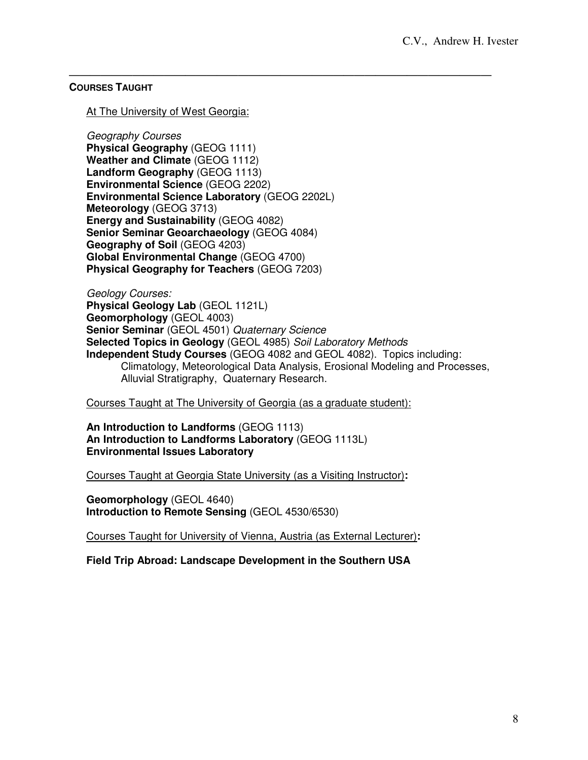## ———————————————————————————————————————— **COURSES TAUGHT**

## At The University of West Georgia:

Geography Courses

**Physical Geography** (GEOG 1111) **Weather and Climate** (GEOG 1112) **Landform Geography** (GEOG 1113) **Environmental Science** (GEOG 2202) **Environmental Science Laboratory** (GEOG 2202L) **Meteorology** (GEOG 3713) **Energy and Sustainability** (GEOG 4082) **Senior Seminar Geoarchaeology** (GEOG 4084) **Geography of Soil** (GEOG 4203) **Global Environmental Change** (GEOG 4700) **Physical Geography for Teachers** (GEOG 7203)

Geology Courses: **Physical Geology Lab** (GEOL 1121L) **Geomorphology** (GEOL 4003) **Senior Seminar** (GEOL 4501) Quaternary Science **Selected Topics in Geology** (GEOL 4985) Soil Laboratory Methods **Independent Study Courses** (GEOG 4082 and GEOL 4082). Topics including: Climatology, Meteorological Data Analysis, Erosional Modeling and Processes, Alluvial Stratigraphy, Quaternary Research.

## Courses Taught at The University of Georgia (as a graduate student):

**An Introduction to Landforms** (GEOG 1113) **An Introduction to Landforms Laboratory** (GEOG 1113L) **Environmental Issues Laboratory**

Courses Taught at Georgia State University (as a Visiting Instructor)**:** 

**Geomorphology** (GEOL 4640) **Introduction to Remote Sensing** (GEOL 4530/6530)

Courses Taught for University of Vienna, Austria (as External Lecturer)**:** 

**Field Trip Abroad: Landscape Development in the Southern USA**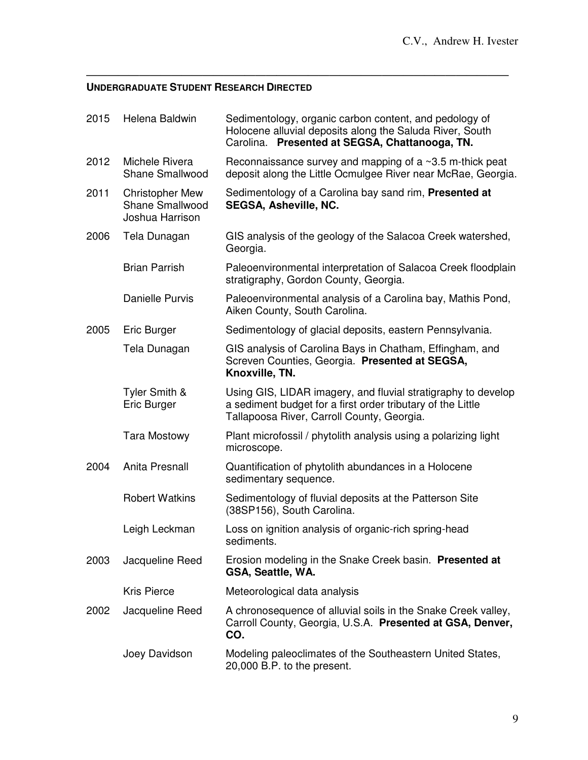## ———————————————————————————————————————— **UNDERGRADUATE STUDENT RESEARCH DIRECTED**

| 2015 | Helena Baldwin                                                      | Sedimentology, organic carbon content, and pedology of<br>Holocene alluvial deposits along the Saluda River, South<br>Carolina. Presented at SEGSA, Chattanooga, TN.       |  |
|------|---------------------------------------------------------------------|----------------------------------------------------------------------------------------------------------------------------------------------------------------------------|--|
| 2012 | Michele Rivera<br><b>Shane Smallwood</b>                            | Reconnaissance survey and mapping of a $\sim$ 3.5 m-thick peat<br>deposit along the Little Ocmulgee River near McRae, Georgia.                                             |  |
| 2011 | <b>Christopher Mew</b><br><b>Shane Smallwood</b><br>Joshua Harrison | Sedimentology of a Carolina bay sand rim, Presented at<br><b>SEGSA, Asheville, NC.</b>                                                                                     |  |
| 2006 | Tela Dunagan                                                        | GIS analysis of the geology of the Salacoa Creek watershed,<br>Georgia.                                                                                                    |  |
|      | <b>Brian Parrish</b>                                                | Paleoenvironmental interpretation of Salacoa Creek floodplain<br>stratigraphy, Gordon County, Georgia.                                                                     |  |
|      | <b>Danielle Purvis</b>                                              | Paleoenvironmental analysis of a Carolina bay, Mathis Pond,<br>Aiken County, South Carolina.                                                                               |  |
| 2005 | Eric Burger                                                         | Sedimentology of glacial deposits, eastern Pennsylvania.                                                                                                                   |  |
|      | Tela Dunagan                                                        | GIS analysis of Carolina Bays in Chatham, Effingham, and<br>Screven Counties, Georgia. Presented at SEGSA,<br>Knoxville, TN.                                               |  |
|      | Tyler Smith &<br>Eric Burger                                        | Using GIS, LIDAR imagery, and fluvial stratigraphy to develop<br>a sediment budget for a first order tributary of the Little<br>Tallapoosa River, Carroll County, Georgia. |  |
|      | <b>Tara Mostowy</b>                                                 | Plant microfossil / phytolith analysis using a polarizing light<br>microscope.                                                                                             |  |
| 2004 | Anita Presnall                                                      | Quantification of phytolith abundances in a Holocene<br>sedimentary sequence.                                                                                              |  |
|      | <b>Robert Watkins</b>                                               | Sedimentology of fluvial deposits at the Patterson Site<br>(38SP156), South Carolina.                                                                                      |  |
|      | Leigh Leckman                                                       | Loss on ignition analysis of organic-rich spring-head<br>sediments.                                                                                                        |  |
| 2003 | Jacqueline Reed                                                     | Erosion modeling in the Snake Creek basin. Presented at<br>GSA, Seattle, WA.                                                                                               |  |
|      | <b>Kris Pierce</b>                                                  | Meteorological data analysis                                                                                                                                               |  |
| 2002 | Jacqueline Reed                                                     | A chronosequence of alluvial soils in the Snake Creek valley,<br>Carroll County, Georgia, U.S.A. Presented at GSA, Denver,<br>CO.                                          |  |
|      | Joey Davidson                                                       | Modeling paleoclimates of the Southeastern United States,<br>20,000 B.P. to the present.                                                                                   |  |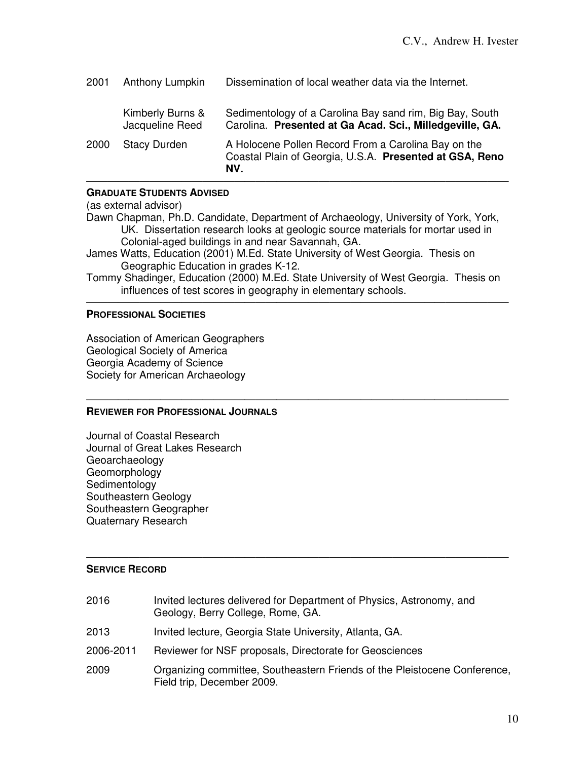| 2001 | Anthony Lumpkin                     | Dissemination of local weather data via the Internet.                                                                 |
|------|-------------------------------------|-----------------------------------------------------------------------------------------------------------------------|
|      | Kimberly Burns &<br>Jacqueline Reed | Sedimentology of a Carolina Bay sand rim, Big Bay, South<br>Carolina. Presented at Ga Acad. Sci., Milledgeville, GA.  |
| 2000 | <b>Stacy Durden</b>                 | A Holocene Pollen Record From a Carolina Bay on the<br>Coastal Plain of Georgia, U.S.A. Presented at GSA, Reno<br>NV. |

# **GRADUATE STUDENTS ADVISED**

(as external advisor)

Dawn Chapman, Ph.D. Candidate, Department of Archaeology, University of York, York, UK. Dissertation research looks at geologic source materials for mortar used in Colonial-aged buildings in and near Savannah, GA.

James Watts, Education (2001) M.Ed. State University of West Georgia. Thesis on Geographic Education in grades K-12.

Tommy Shadinger, Education (2000) M.Ed. State University of West Georgia. Thesis on influences of test scores in geography in elementary schools.

 $\overline{\phantom{a}}$  , and the contract of the contract of the contract of the contract of the contract of the contract of the contract of the contract of the contract of the contract of the contract of the contract of the contrac

 $\overline{\phantom{a}}$  , and the contract of the contract of the contract of the contract of the contract of the contract of the contract of the contract of the contract of the contract of the contract of the contract of the contrac

# **PROFESSIONAL SOCIETIES**

Association of American Geographers Geological Society of America Georgia Academy of Science Society for American Archaeology

# **REVIEWER FOR PROFESSIONAL JOURNALS**

Journal of Coastal Research Journal of Great Lakes Research Geoarchaeology **Geomorphology Sedimentology** Southeastern Geology Southeastern Geographer Quaternary Research

## $\overline{\phantom{a}}$  , and the set of the set of the set of the set of the set of the set of the set of the set of the set of the set of the set of the set of the set of the set of the set of the set of the set of the set of the s **SERVICE RECORD**

| 2016      | Invited lectures delivered for Department of Physics, Astronomy, and<br>Geology, Berry College, Rome, GA. |
|-----------|-----------------------------------------------------------------------------------------------------------|
| 2013      | Invited lecture, Georgia State University, Atlanta, GA.                                                   |
| 2006-2011 | Reviewer for NSF proposals, Directorate for Geosciences                                                   |
| 2009      | Organizing committee, Southeastern Friends of the Pleistocene Conference,<br>Field trip, December 2009.   |